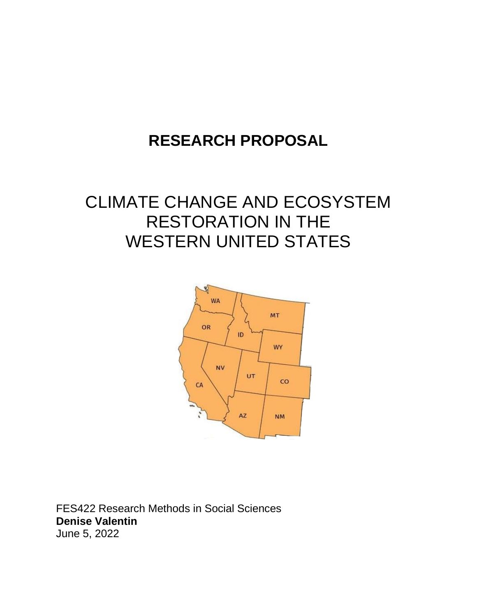# **RESEARCH PROPOSAL**

# CLIMATE CHANGE AND ECOSYSTEM RESTORATION IN THE WESTERN UNITED STATES



FES422 Research Methods in Social Sciences **Denise Valentin** June 5, 2022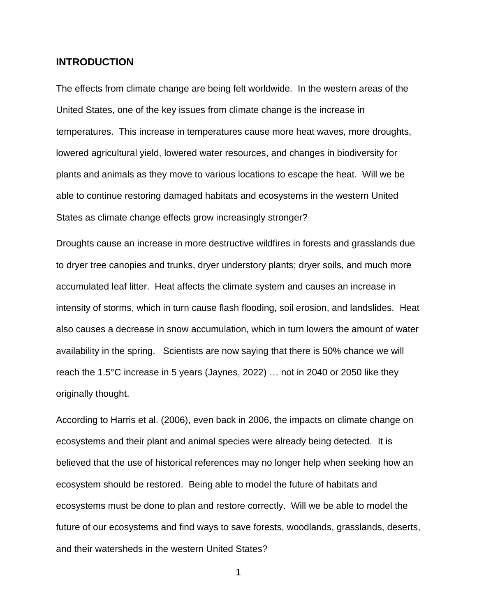#### **INTRODUCTION**

The effects from climate change are being felt worldwide. In the western areas of the United States, one of the key issues from climate change is the increase in temperatures. This increase in temperatures cause more heat waves, more droughts, lowered agricultural yield, lowered water resources, and changes in biodiversity for plants and animals as they move to various locations to escape the heat. Will we be able to continue restoring damaged habitats and ecosystems in the western United States as climate change effects grow increasingly stronger?

Droughts cause an increase in more destructive wildfires in forests and grasslands due to dryer tree canopies and trunks, dryer understory plants; dryer soils, and much more accumulated leaf litter. Heat affects the climate system and causes an increase in intensity of storms, which in turn cause flash flooding, soil erosion, and landslides. Heat also causes a decrease in snow accumulation, which in turn lowers the amount of water availability in the spring. Scientists are now saying that there is 50% chance we will reach the 1.5°C increase in 5 years (Jaynes, 2022) … not in 2040 or 2050 like they originally thought.

According to Harris et al. (2006), even back in 2006, the impacts on climate change on ecosystems and their plant and animal species were already being detected. It is believed that the use of historical references may no longer help when seeking how an ecosystem should be restored. Being able to model the future of habitats and ecosystems must be done to plan and restore correctly. Will we be able to model the future of our ecosystems and find ways to save forests, woodlands, grasslands, deserts, and their watersheds in the western United States?

1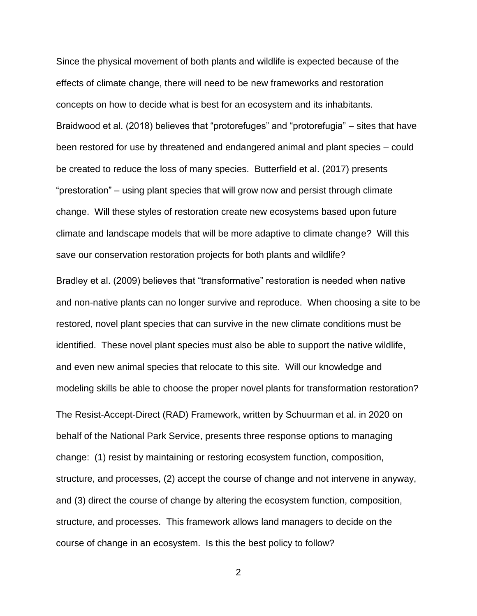Since the physical movement of both plants and wildlife is expected because of the effects of climate change, there will need to be new frameworks and restoration concepts on how to decide what is best for an ecosystem and its inhabitants. Braidwood et al. (2018) believes that "protorefuges" and "protorefugia" – sites that have been restored for use by threatened and endangered animal and plant species – could be created to reduce the loss of many species. Butterfield et al. (2017) presents "prestoration" – using plant species that will grow now and persist through climate change. Will these styles of restoration create new ecosystems based upon future climate and landscape models that will be more adaptive to climate change? Will this save our conservation restoration projects for both plants and wildlife?

Bradley et al. (2009) believes that "transformative" restoration is needed when native and non-native plants can no longer survive and reproduce. When choosing a site to be restored, novel plant species that can survive in the new climate conditions must be identified. These novel plant species must also be able to support the native wildlife, and even new animal species that relocate to this site. Will our knowledge and modeling skills be able to choose the proper novel plants for transformation restoration?

The Resist-Accept-Direct (RAD) Framework, written by Schuurman et al. in 2020 on behalf of the National Park Service, presents three response options to managing change: (1) resist by maintaining or restoring ecosystem function, composition, structure, and processes, (2) accept the course of change and not intervene in anyway, and (3) direct the course of change by altering the ecosystem function, composition, structure, and processes. This framework allows land managers to decide on the course of change in an ecosystem. Is this the best policy to follow?

2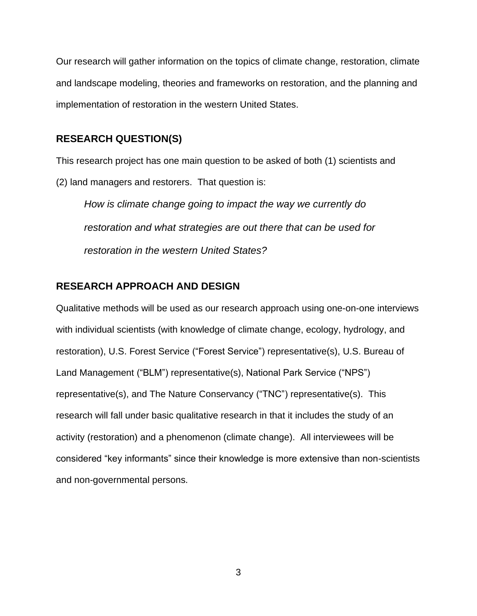Our research will gather information on the topics of climate change, restoration, climate and landscape modeling, theories and frameworks on restoration, and the planning and implementation of restoration in the western United States.

#### **RESEARCH QUESTION(S)**

This research project has one main question to be asked of both (1) scientists and (2) land managers and restorers. That question is:

*How is climate change going to impact the way we currently do restoration and what strategies are out there that can be used for restoration in the western United States?* 

## **RESEARCH APPROACH AND DESIGN**

Qualitative methods will be used as our research approach using one-on-one interviews with individual scientists (with knowledge of climate change, ecology, hydrology, and restoration), U.S. Forest Service ("Forest Service") representative(s), U.S. Bureau of Land Management ("BLM") representative(s), National Park Service ("NPS") representative(s), and The Nature Conservancy ("TNC") representative(s). This research will fall under basic qualitative research in that it includes the study of an activity (restoration) and a phenomenon (climate change). All interviewees will be considered "key informants" since their knowledge is more extensive than non-scientists and non-governmental persons.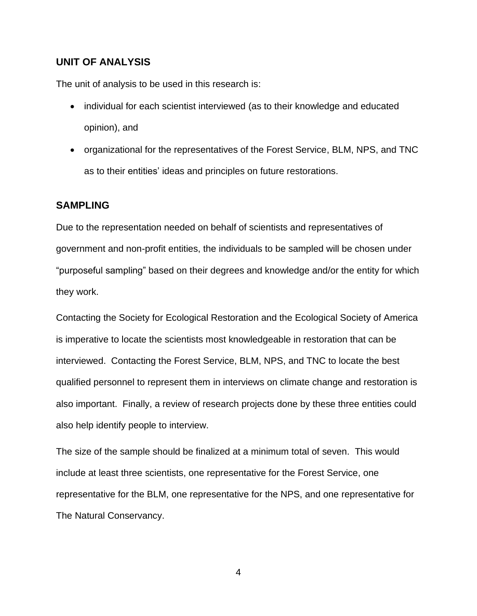### **UNIT OF ANALYSIS**

The unit of analysis to be used in this research is:

- individual for each scientist interviewed (as to their knowledge and educated opinion), and
- organizational for the representatives of the Forest Service, BLM, NPS, and TNC as to their entities' ideas and principles on future restorations.

### **SAMPLING**

Due to the representation needed on behalf of scientists and representatives of government and non-profit entities, the individuals to be sampled will be chosen under "purposeful sampling" based on their degrees and knowledge and/or the entity for which they work.

Contacting the Society for Ecological Restoration and the Ecological Society of America is imperative to locate the scientists most knowledgeable in restoration that can be interviewed. Contacting the Forest Service, BLM, NPS, and TNC to locate the best qualified personnel to represent them in interviews on climate change and restoration is also important. Finally, a review of research projects done by these three entities could also help identify people to interview.

The size of the sample should be finalized at a minimum total of seven. This would include at least three scientists, one representative for the Forest Service, one representative for the BLM, one representative for the NPS, and one representative for The Natural Conservancy.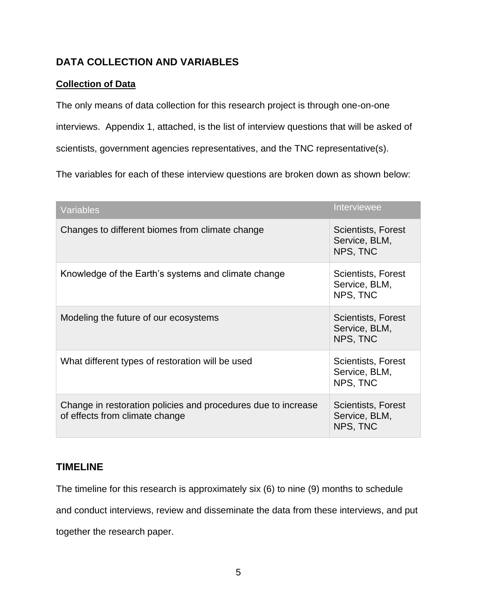## **DATA COLLECTION AND VARIABLES**

## **Collection of Data**

The only means of data collection for this research project is through one-on-one interviews. Appendix 1, attached, is the list of interview questions that will be asked of scientists, government agencies representatives, and the TNC representative(s).

The variables for each of these interview questions are broken down as shown below:

| <b>Variables</b>                                                                                | Interviewee                                     |
|-------------------------------------------------------------------------------------------------|-------------------------------------------------|
| Changes to different biomes from climate change                                                 | Scientists, Forest<br>Service, BLM,<br>NPS, TNC |
| Knowledge of the Earth's systems and climate change                                             | Scientists, Forest<br>Service, BLM,<br>NPS, TNC |
| Modeling the future of our ecosystems                                                           | Scientists, Forest<br>Service, BLM,<br>NPS, TNC |
| What different types of restoration will be used                                                | Scientists, Forest<br>Service, BLM,<br>NPS, TNC |
| Change in restoration policies and procedures due to increase<br>of effects from climate change | Scientists, Forest<br>Service, BLM,<br>NPS, TNC |

## **TIMELINE**

The timeline for this research is approximately six (6) to nine (9) months to schedule

and conduct interviews, review and disseminate the data from these interviews, and put

together the research paper.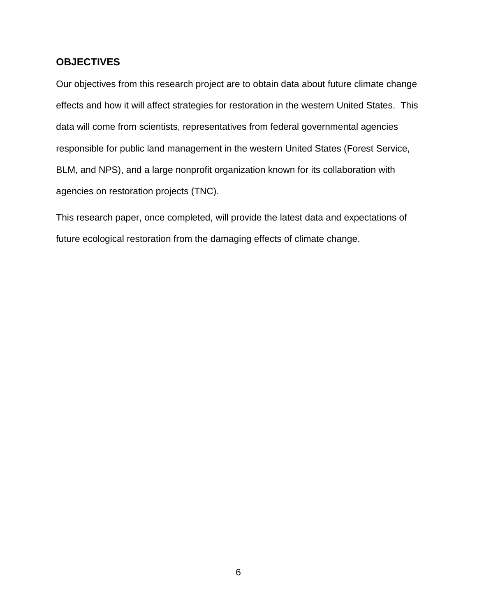## **OBJECTIVES**

Our objectives from this research project are to obtain data about future climate change effects and how it will affect strategies for restoration in the western United States. This data will come from scientists, representatives from federal governmental agencies responsible for public land management in the western United States (Forest Service, BLM, and NPS), and a large nonprofit organization known for its collaboration with agencies on restoration projects (TNC).

This research paper, once completed, will provide the latest data and expectations of future ecological restoration from the damaging effects of climate change.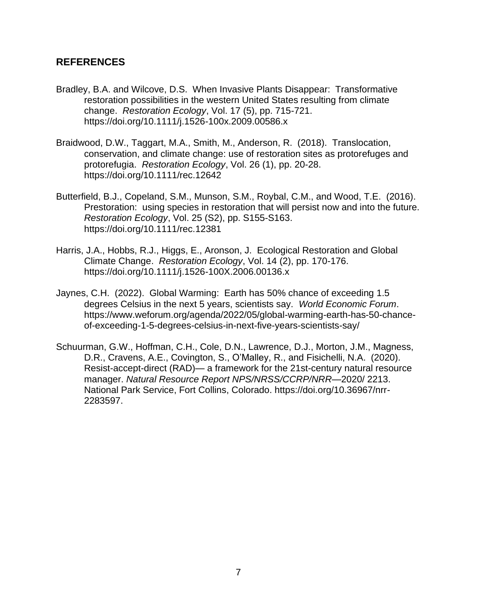## **REFERENCES**

- Bradley, B.A. and Wilcove, D.S. When Invasive Plants Disappear: Transformative restoration possibilities in the western United States resulting from climate change. *Restoration Ecology*, Vol. 17 (5), pp. 715-721. https://doi.org/10.1111/j.1526-100x.2009.00586.x
- Braidwood, D.W., Taggart, M.A., Smith, M., Anderson, R. (2018). Translocation, conservation, and climate change: use of restoration sites as protorefuges and protorefugia. *Restoration Ecology*, Vol. 26 (1), pp. 20-28. https://doi.org/10.1111/rec.12642
- Butterfield, B.J., Copeland, S.M., Munson, S.M., Roybal, C.M., and Wood, T.E. (2016). Prestoration: using species in restoration that will persist now and into the future. *Restoration Ecology*, Vol. 25 (S2), pp. S155-S163. https://doi.org/10.1111/rec.12381
- Harris, J.A., Hobbs, R.J., Higgs, E., Aronson, J. Ecological Restoration and Global Climate Change. *Restoration Ecology*, Vol. 14 (2), pp. 170-176. https://doi.org/10.1111/j.1526-100X.2006.00136.x
- Jaynes, C.H. (2022). Global Warming: Earth has 50% chance of exceeding 1.5 degrees Celsius in the next 5 years, scientists say. *World Economic Forum*. https://www.weforum.org/agenda/2022/05/global-warming-earth-has-50-chanceof-exceeding-1-5-degrees-celsius-in-next-five-years-scientists-say/
- Schuurman, G.W., Hoffman, C.H., Cole, D.N., Lawrence, D.J., Morton, J.M., Magness, D.R., Cravens, A.E., Covington, S., O'Malley, R., and Fisichelli, N.A. (2020). Resist-accept-direct (RAD)— a framework for the 21st-century natural resource manager. *Natural Resource Report NPS/NRSS/CCRP/NRR*—2020/ 2213. National Park Service, Fort Collins, Colorado. https://doi.org/10.36967/nrr-2283597.